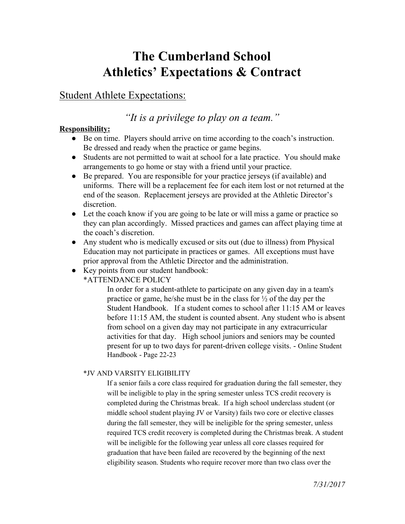# **The Cumberland School Athletics' Expectations & Contract**

### Student Athlete Expectations:

## *"It is a privilege to play on a team."*

### **Responsibility:**

- Be on time. Players should arrive on time according to the coach's instruction. Be dressed and ready when the practice or game begins.
- Students are not permitted to wait at school for a late practice. You should make arrangements to go home or stay with a friend until your practice.
- Be prepared. You are responsible for your practice jerseys (if available) and uniforms. There will be a replacement fee for each item lost or not returned at the end of the season. Replacement jerseys are provided at the Athletic Director's discretion.
- Let the coach know if you are going to be late or will miss a game or practice so they can plan accordingly. Missed practices and games can affect playing time at the coach's discretion.
- Any student who is medically excused or sits out (due to illness) from Physical Education may not participate in practices or games. All exceptions must have prior approval from the Athletic Director and the administration.
- Key points from our student handbook:

\*ATTENDANCE POLICY

In order for a student-athlete to participate on any given day in a team's practice or game, he/she must be in the class for ½ of the day per the Student Handbook. If a student comes to school after 11:15 AM or leaves before 11:15 AM, the student is counted absent. Any student who is absent from school on a given day may not participate in any extracurricular activities for that day. High school juniors and seniors may be counted present for up to two days for parent-driven college visits. - Online Student Handbook - Page 22-23

### \*JV AND VARSITY ELIGIBILITY

If a senior fails a core class required for graduation during the fall semester, they will be ineligible to play in the spring semester unless TCS credit recovery is completed during the Christmas break. If a high school underclass student (or middle school student playing JV or Varsity) fails two core or elective classes during the fall semester, they will be ineligible for the spring semester, unless required TCS credit recovery is completed during the Christmas break. A student will be ineligible for the following year unless all core classes required for graduation that have been failed are recovered by the beginning of the next eligibility season. Students who require recover more than two class over the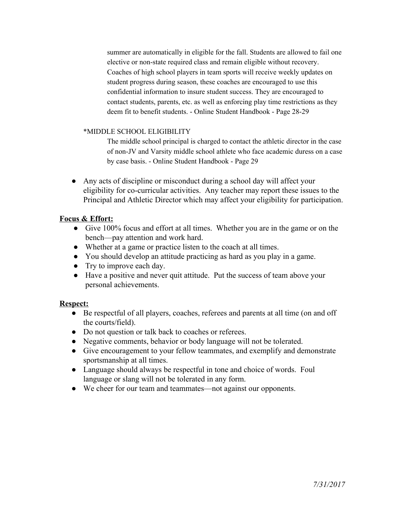summer are automatically in eligible for the fall. Students are allowed to fail one elective or non-state required class and remain eligible without recovery. Coaches of high school players in team sports will receive weekly updates on student progress during season, these coaches are encouraged to use this confidential information to insure student success. They are encouraged to contact students, parents, etc. as well as enforcing play time restrictions as they deem fit to benefit students. - Online Student Handbook - Page 28-29

#### \*MIDDLE SCHOOL ELIGIBILITY

The middle school principal is charged to contact the athletic director in the case of non-JV and Varsity middle school athlete who face academic duress on a case by case basis. - Online Student Handbook - Page 29

● Any acts of discipline or misconduct during a school day will affect your eligibility for co-curricular activities. Any teacher may report these issues to the Principal and Athletic Director which may affect your eligibility for participation.

#### **Focus & Effort:**

- Give 100% focus and effort at all times. Whether you are in the game or on the bench—pay attention and work hard.
- Whether at a game or practice listen to the coach at all times.
- You should develop an attitude practicing as hard as you play in a game.
- Try to improve each day.
- Have a positive and never quit attitude. Put the success of team above your personal achievements.

#### **Respect:**

- Be respectful of all players, coaches, referees and parents at all time (on and off the courts/field).
- Do not question or talk back to coaches or referees.
- Negative comments, behavior or body language will not be tolerated.
- Give encouragement to your fellow teammates, and exemplify and demonstrate sportsmanship at all times.
- Language should always be respectful in tone and choice of words. Foul language or slang will not be tolerated in any form.
- We cheer for our team and teammates—not against our opponents.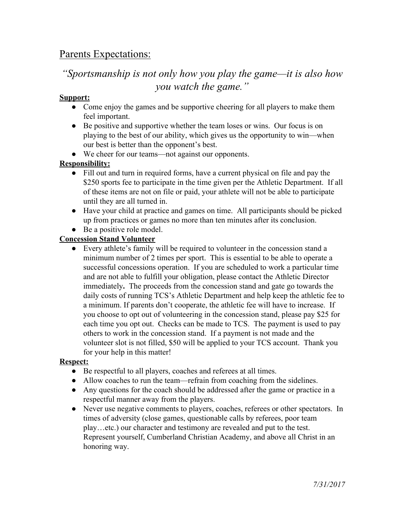# Parents Expectations:

# *"Sportsmanship is not only how you play the game—it is also how you watch the game."*

#### **Support:**

- Come enjoy the games and be supportive cheering for all players to make them feel important.
- Be positive and supportive whether the team loses or wins. Our focus is on playing to the best of our ability, which gives us the opportunity to win—when our best is better than the opponent's best.
- We cheer for our teams—not against our opponents.

### **Responsibility:**

- Fill out and turn in required forms, have a current physical on file and pay the \$250 sports fee to participate in the time given per the Athletic Department. If all of these items are not on file or paid, your athlete will not be able to participate until they are all turned in.
- Have your child at practice and games on time. All participants should be picked up from practices or games no more than ten minutes after its conclusion.
- Be a positive role model.

### **Concession Stand Volunteer**

● Every athlete's family will be required to volunteer in the concession stand a minimum number of 2 times per sport. This is essential to be able to operate a successful concessions operation. If you are scheduled to work a particular time and are not able to fulfill your obligation, please contact the Athletic Director immediately**.** The proceeds from the concession stand and gate go towards the daily costs of running TCS's Athletic Department and help keep the athletic fee to a minimum. If parents don't cooperate, the athletic fee will have to increase. If you choose to opt out of volunteering in the concession stand, please pay \$25 for each time you opt out. Checks can be made to TCS. The payment is used to pay others to work in the concession stand. If a payment is not made and the volunteer slot is not filled, \$50 will be applied to your TCS account. Thank you for your help in this matter!

### **Respect:**

- Be respectful to all players, coaches and referees at all times.
- Allow coaches to run the team—refrain from coaching from the sidelines.
- Any questions for the coach should be addressed after the game or practice in a respectful manner away from the players.
- Never use negative comments to players, coaches, referees or other spectators. In times of adversity (close games, questionable calls by referees, poor team play…etc.) our character and testimony are revealed and put to the test. Represent yourself, Cumberland Christian Academy, and above all Christ in an honoring way.